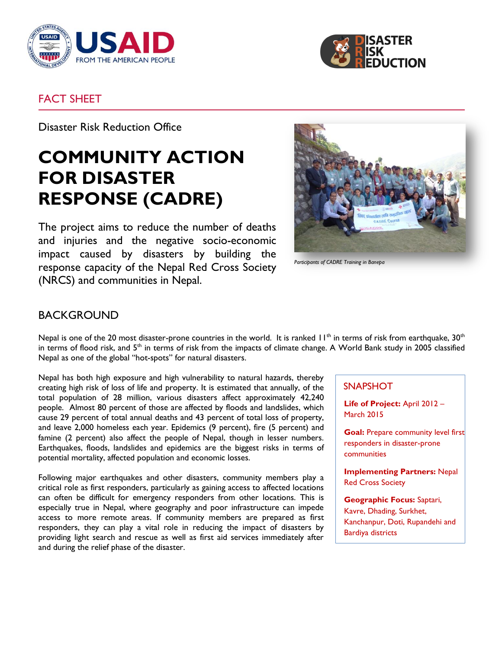



### FACT SHEET

Disaster Risk Reduction Office

# **COMMUNITY ACTION FOR DISASTER RESPONSE (CADRE)**

The project aims to reduce the number of deaths and injuries and the negative socio-economic impact caused by disasters by building the response capacity of the Nepal Red Cross Society (NRCS) and communities in Nepal.



*Participants of CADRE Training in Banepa*

## BACKGROUND

Nepal is one of the 20 most disaster-prone countries in the world. It is ranked  $11^{th}$  in terms of risk from earthquake,  $30^{th}$ in terms of flood risk, and 5<sup>th</sup> in terms of risk from the impacts of climate change. A World Bank study in 2005 classified Nepal as one of the global "hot-spots" for natural disasters.

Nepal has both high exposure and high vulnerability to natural hazards, thereby creating high risk of loss of life and property. It is estimated that annually, of the total population of 28 million, various disasters affect approximately 42,240 people. Almost 80 percent of those are affected by floods and landslides, which cause 29 percent of total annual deaths and 43 percent of total loss of property, and leave 2,000 homeless each year. Epidemics (9 percent), fire (5 percent) and famine (2 percent) also affect the people of Nepal, though in lesser numbers. Earthquakes, floods, landslides and epidemics are the biggest risks in terms of potential mortality, affected population and economic losses.

Following major earthquakes and other disasters, community members play a critical role as first responders, particularly as gaining access to affected locations can often be difficult for emergency responders from other locations. This is especially true in Nepal, where geography and poor infrastructure can impede access to more remote areas. If community members are prepared as first responders, they can play a vital role in reducing the impact of disasters by providing light search and rescue as well as first aid services immediately after and during the relief phase of the disaster.

#### **SNAPSHOT**

**Life of Project:** April 2012 – March 2015

**Goal:** Prepare community level first responders in disaster-prone communities

**Implementing Partners:** Nepal Red Cross Society

**Geographic Focus:** Saptari, Kavre, Dhading, Surkhet, Kanchanpur, Doti, Rupandehi and Bardiya districts